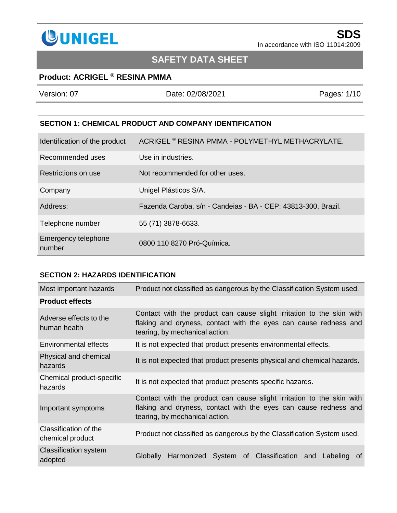

# **SAFETY DATA SHEET**

## **Product: ACRIGEL ® RESINA PMMA**

| Version: 07                   | Date: 02/08/2021                                              | Pages: 1/10 |
|-------------------------------|---------------------------------------------------------------|-------------|
|                               |                                                               |             |
|                               | <b>SECTION 1: CHEMICAL PRODUCT AND COMPANY IDENTIFICATION</b> |             |
| Identification of the product | ACRIGEL <sup>®</sup> RESINA PMMA - POLYMETHYL METHACRYLATE.   |             |
| Recommended uses              | Use in industries.                                            |             |
| Restrictions on use           | Not recommended for other uses.                               |             |
| Company                       | Unigel Plásticos S/A.                                         |             |
| Address:                      | Fazenda Caroba, s/n - Candeias - BA - CEP: 43813-300, Brazil. |             |
| Telephone number              | 55 (71) 3878-6633.                                            |             |
| Emergency telephone<br>number | 0800 110 8270 Pró-Química.                                    |             |

| <b>SECTION 2: HAZARDS IDENTIFICATION</b>  |                                                                                                                                                                             |
|-------------------------------------------|-----------------------------------------------------------------------------------------------------------------------------------------------------------------------------|
| Most important hazards                    | Product not classified as dangerous by the Classification System used.                                                                                                      |
| <b>Product effects</b>                    |                                                                                                                                                                             |
| Adverse effects to the<br>human health    | Contact with the product can cause slight irritation to the skin with<br>flaking and dryness, contact with the eyes can cause redness and<br>tearing, by mechanical action. |
| Environmental effects                     | It is not expected that product presents environmental effects.                                                                                                             |
| Physical and chemical<br>hazards          | It is not expected that product presents physical and chemical hazards.                                                                                                     |
| Chemical product-specific<br>hazards      | It is not expected that product presents specific hazards.                                                                                                                  |
| Important symptoms                        | Contact with the product can cause slight irritation to the skin with<br>flaking and dryness, contact with the eyes can cause redness and<br>tearing, by mechanical action. |
| Classification of the<br>chemical product | Product not classified as dangerous by the Classification System used.                                                                                                      |
| <b>Classification system</b><br>adopted   | Harmonized System of Classification and Labeling<br>Globally<br>0t                                                                                                          |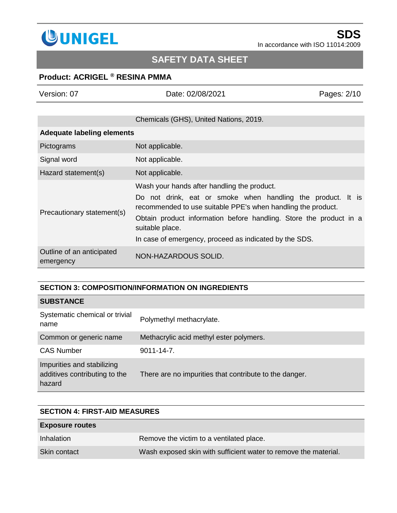

# **SAFETY DATA SHEET**

## **Product: ACRIGEL ® RESINA PMMA**

|  |  | Version: 07 |  |  |
|--|--|-------------|--|--|
|--|--|-------------|--|--|

Version: 07 Date: 02/08/2021 Pages*:* 2/10

## Chemicals (GHS), United Nations, 2019.

### **Adequate labeling elements**

| Pictograms                             | Not applicable.                                                                                                                                                                                                                                                                                                               |
|----------------------------------------|-------------------------------------------------------------------------------------------------------------------------------------------------------------------------------------------------------------------------------------------------------------------------------------------------------------------------------|
| Signal word                            | Not applicable.                                                                                                                                                                                                                                                                                                               |
| Hazard statement(s)                    | Not applicable.                                                                                                                                                                                                                                                                                                               |
| Precautionary statement(s)             | Wash your hands after handling the product.<br>Do not drink, eat or smoke when handling the product. It is<br>recommended to use suitable PPE's when handling the product.<br>Obtain product information before handling. Store the product in a<br>suitable place.<br>In case of emergency, proceed as indicated by the SDS. |
| Outline of an anticipated<br>emergency | NON-HAZARDOUS SOLID.                                                                                                                                                                                                                                                                                                          |

### **SECTION 3: COMPOSITION/INFORMATION ON INGREDIENTS**

### **SUBSTANCE**

| Systematic chemical or trivial<br>name                                | Polymethyl methacrylate.                               |
|-----------------------------------------------------------------------|--------------------------------------------------------|
| Common or generic name                                                | Methacrylic acid methyl ester polymers.                |
| <b>CAS Number</b>                                                     | $9011 - 14 - 7$ .                                      |
| Impurities and stabilizing<br>additives contributing to the<br>hazard | There are no impurities that contribute to the danger. |

# **SECTION 4: FIRST-AID MEASURES Exposure routes** Inhalation **Remove the victim to a ventilated place.** Skin contact Wash exposed skin with sufficient water to remove the material.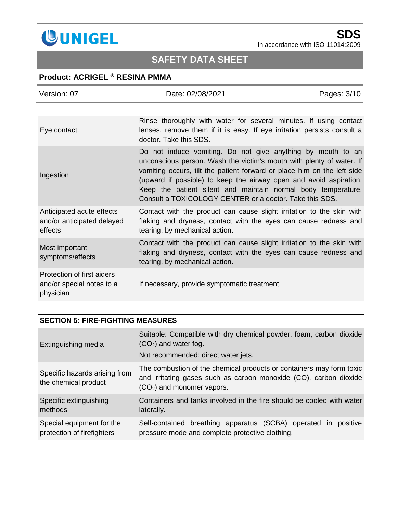

# **SAFETY DATA SHEET**

## **Product: ACRIGEL ® RESINA PMMA**

| Version: 07                                                          | Date: 02/08/2021                                                                                                                                                                                                                                                                                                                                                                                                 | Pages: 3/10 |
|----------------------------------------------------------------------|------------------------------------------------------------------------------------------------------------------------------------------------------------------------------------------------------------------------------------------------------------------------------------------------------------------------------------------------------------------------------------------------------------------|-------------|
|                                                                      |                                                                                                                                                                                                                                                                                                                                                                                                                  |             |
| Eye contact:                                                         | Rinse thoroughly with water for several minutes. If using contact<br>lenses, remove them if it is easy. If eye irritation persists consult a<br>doctor. Take this SDS.                                                                                                                                                                                                                                           |             |
| Ingestion                                                            | Do not induce vomiting. Do not give anything by mouth to an<br>unconscious person. Wash the victim's mouth with plenty of water. If<br>vomiting occurs, tilt the patient forward or place him on the left side<br>(upward if possible) to keep the airway open and avoid aspiration.<br>Keep the patient silent and maintain normal body temperature.<br>Consult a TOXICOLOGY CENTER or a doctor. Take this SDS. |             |
| Anticipated acute effects<br>and/or anticipated delayed<br>effects   | Contact with the product can cause slight irritation to the skin with<br>flaking and dryness, contact with the eyes can cause redness and<br>tearing, by mechanical action.                                                                                                                                                                                                                                      |             |
| Most important<br>symptoms/effects                                   | Contact with the product can cause slight irritation to the skin with<br>flaking and dryness, contact with the eyes can cause redness and<br>tearing, by mechanical action.                                                                                                                                                                                                                                      |             |
| Protection of first aiders<br>and/or special notes to a<br>physician | If necessary, provide symptomatic treatment.                                                                                                                                                                                                                                                                                                                                                                     |             |

### **SECTION 5: FIRE-FIGHTING MEASURES**

| Extinguishing media                                     | Suitable: Compatible with dry chemical powder, foam, carbon dioxide<br>$(CO2)$ and water fog.<br>Not recommended: direct water jets.                                     |
|---------------------------------------------------------|--------------------------------------------------------------------------------------------------------------------------------------------------------------------------|
| Specific hazards arising from<br>the chemical product   | The combustion of the chemical products or containers may form toxic<br>and irritating gases such as carbon monoxide (CO), carbon dioxide<br>$(CO2)$ and monomer vapors. |
| Specific extinguishing<br>methods                       | Containers and tanks involved in the fire should be cooled with water<br>laterally.                                                                                      |
| Special equipment for the<br>protection of firefighters | Self-contained breathing apparatus (SCBA) operated in<br>positive<br>pressure mode and complete protective clothing.                                                     |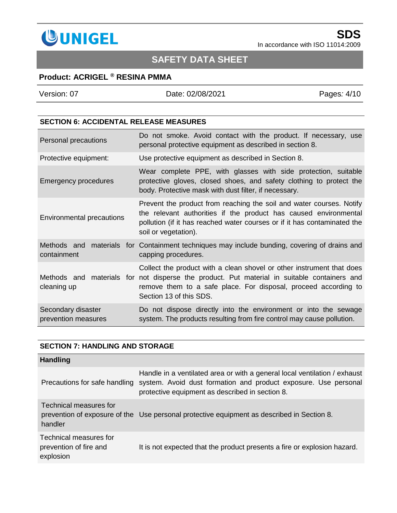

# **SAFETY DATA SHEET**

## **Product: ACRIGEL ® RESINA PMMA**

| Version: 07 | Date: 02/08/2021 | Pages: 4/10 |
|-------------|------------------|-------------|
|             |                  |             |

#### **SECTION 6: ACCIDENTAL RELEASE MEASURES**

| Personal precautions                      | Do not smoke. Avoid contact with the product. If necessary, use<br>personal protective equipment as described in section 8.                                                                                                                                        |
|-------------------------------------------|--------------------------------------------------------------------------------------------------------------------------------------------------------------------------------------------------------------------------------------------------------------------|
| Protective equipment:                     | Use protective equipment as described in Section 8.                                                                                                                                                                                                                |
| <b>Emergency procedures</b>               | Wear complete PPE, with glasses with side protection, suitable<br>protective gloves, closed shoes, and safety clothing to protect the<br>body. Protective mask with dust filter, if necessary.                                                                     |
| Environmental precautions                 | Prevent the product from reaching the soil and water courses. Notify<br>the relevant authorities if the product has caused environmental<br>pollution (if it has reached water courses or if it has contaminated the<br>soil or vegetation).                       |
| containment                               | Methods and materials for Containment techniques may include bunding, covering of drains and<br>capping procedures.                                                                                                                                                |
| cleaning up                               | Collect the product with a clean shovel or other instrument that does<br>Methods and materials for not disperse the product. Put material in suitable containers and<br>remove them to a safe place. For disposal, proceed according to<br>Section 13 of this SDS. |
| Secondary disaster<br>prevention measures | Do not dispose directly into the environment or into the sewage<br>system. The products resulting from fire control may cause pollution.                                                                                                                           |

### **SECTION 7: HANDLING AND STORAGE**

| <b>Handling</b>                                               |                                                                                                                                                                                                 |
|---------------------------------------------------------------|-------------------------------------------------------------------------------------------------------------------------------------------------------------------------------------------------|
| Precautions for safe handling                                 | Handle in a ventilated area or with a general local ventilation / exhaust<br>system. Avoid dust formation and product exposure. Use personal<br>protective equipment as described in section 8. |
| Technical measures for<br>handler                             | prevention of exposure of the Use personal protective equipment as described in Section 8.                                                                                                      |
| Technical measures for<br>prevention of fire and<br>explosion | It is not expected that the product presents a fire or explosion hazard.                                                                                                                        |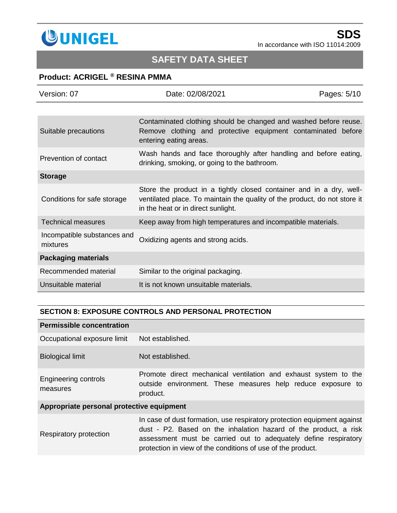

# **SAFETY DATA SHEET**

## **Product: ACRIGEL ® RESINA PMMA**

| Version: 07                             | Date: 02/08/2021                                                                                                                                                                       | Pages: 5/10 |
|-----------------------------------------|----------------------------------------------------------------------------------------------------------------------------------------------------------------------------------------|-------------|
|                                         |                                                                                                                                                                                        |             |
| Suitable precautions                    | Contaminated clothing should be changed and washed before reuse.<br>Remove clothing and protective equipment contaminated before<br>entering eating areas.                             |             |
| Prevention of contact                   | Wash hands and face thoroughly after handling and before eating,<br>drinking, smoking, or going to the bathroom.                                                                       |             |
| <b>Storage</b>                          |                                                                                                                                                                                        |             |
| Conditions for safe storage             | Store the product in a tightly closed container and in a dry, well-<br>ventilated place. To maintain the quality of the product, do not store it<br>in the heat or in direct sunlight. |             |
| <b>Technical measures</b>               | Keep away from high temperatures and incompatible materials.                                                                                                                           |             |
| Incompatible substances and<br>mixtures | Oxidizing agents and strong acids.                                                                                                                                                     |             |
| <b>Packaging materials</b>              |                                                                                                                                                                                        |             |
| Recommended material                    | Similar to the original packaging.                                                                                                                                                     |             |
| Unsuitable material                     | It is not known unsuitable materials.                                                                                                                                                  |             |

#### **SECTION 8: EXPOSURE CONTROLS AND PERSONAL PROTECTION**

| <b>Permissible concentration</b>          |                                                                                                                                                                                                                                                                               |  |
|-------------------------------------------|-------------------------------------------------------------------------------------------------------------------------------------------------------------------------------------------------------------------------------------------------------------------------------|--|
| Occupational exposure limit               | Not established.                                                                                                                                                                                                                                                              |  |
| <b>Biological limit</b>                   | Not established.                                                                                                                                                                                                                                                              |  |
| Engineering controls<br>measures          | Promote direct mechanical ventilation and exhaust system to the<br>outside environment. These measures help reduce exposure to<br>product.                                                                                                                                    |  |
| Appropriate personal protective equipment |                                                                                                                                                                                                                                                                               |  |
| Respiratory protection                    | In case of dust formation, use respiratory protection equipment against<br>dust - P2. Based on the inhalation hazard of the product, a risk<br>assessment must be carried out to adequately define respiratory<br>protection in view of the conditions of use of the product. |  |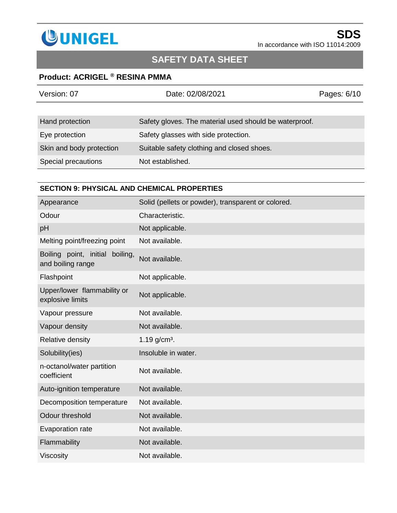

# **SAFETY DATA SHEET**

## **Product: ACRIGEL ® RESINA PMMA**

| Version: 07              | Date: 02/08/2021                                       | Pages: 6/10 |
|--------------------------|--------------------------------------------------------|-------------|
|                          |                                                        |             |
| Hand protection          | Safety gloves. The material used should be waterproof. |             |
| Eye protection           | Safety glasses with side protection.                   |             |
| Skin and body protection | Suitable safety clothing and closed shoes.             |             |
| Special precautions      | Not established.                                       |             |

### **SECTION 9: PHYSICAL AND CHEMICAL PROPERTIES**

| Appearance                                              | Solid (pellets or powder), transparent or colored. |
|---------------------------------------------------------|----------------------------------------------------|
| Odour                                                   | Characteristic.                                    |
| pH                                                      | Not applicable.                                    |
| Melting point/freezing point                            | Not available.                                     |
| Boiling point, initial<br>boiling,<br>and boiling range | Not available.                                     |
| Flashpoint                                              | Not applicable.                                    |
| Upper/lower flammability or<br>explosive limits         | Not applicable.                                    |
| Vapour pressure                                         | Not available.                                     |
| Vapour density                                          | Not available.                                     |
| Relative density                                        | $1.19$ g/cm <sup>3</sup> .                         |
| Solubility(ies)                                         | Insoluble in water.                                |
| n-octanol/water partition<br>coefficient                | Not available.                                     |
| Auto-ignition temperature                               | Not available.                                     |
| Decomposition temperature                               | Not available.                                     |
| Odour threshold                                         | Not available.                                     |
| Evaporation rate                                        | Not available.                                     |
| Flammability                                            | Not available.                                     |
| <b>Viscosity</b>                                        | Not available.                                     |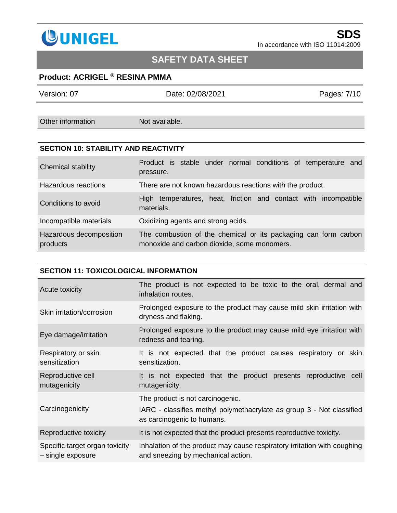

# **SAFETY DATA SHEET**

## **Product: ACRIGEL ® RESINA PMMA**

| Version: 07       | Date: 02/08/2021 | Pages: 7/10 |
|-------------------|------------------|-------------|
|                   |                  |             |
| Other information | Not available.   |             |
|                   |                  |             |

### **SECTION 10: STABILITY AND REACTIVITY**

| Chemical stability                  | Product is stable under normal conditions of temperature and<br>pressure.                                      |
|-------------------------------------|----------------------------------------------------------------------------------------------------------------|
| Hazardous reactions                 | There are not known hazardous reactions with the product.                                                      |
| Conditions to avoid                 | High temperatures, heat, friction and contact with incompatible<br>materials.                                  |
| Incompatible materials              | Oxidizing agents and strong acids.                                                                             |
| Hazardous decomposition<br>products | The combustion of the chemical or its packaging can form carbon<br>monoxide and carbon dioxide, some monomers. |

#### **SECTION 11: TOXICOLOGICAL INFORMATION**

| Acute toxicity                                      | The product is not expected to be toxic to the oral, dermal and<br>inhalation routes.                                                   |
|-----------------------------------------------------|-----------------------------------------------------------------------------------------------------------------------------------------|
| Skin irritation/corrosion                           | Prolonged exposure to the product may cause mild skin irritation with<br>dryness and flaking.                                           |
| Eye damage/irritation                               | Prolonged exposure to the product may cause mild eye irritation with<br>redness and tearing.                                            |
| Respiratory or skin<br>sensitization                | It is not expected that the product causes respiratory or skin<br>sensitization.                                                        |
| Reproductive cell<br>mutagenicity                   | It is not expected that the product presents reproductive cell<br>mutagenicity.                                                         |
| Carcinogenicity                                     | The product is not carcinogenic.<br>IARC - classifies methyl polymethacrylate as group 3 - Not classified<br>as carcinogenic to humans. |
| Reproductive toxicity                               | It is not expected that the product presents reproductive toxicity.                                                                     |
| Specific target organ toxicity<br>- single exposure | Inhalation of the product may cause respiratory irritation with coughing<br>and sneezing by mechanical action.                          |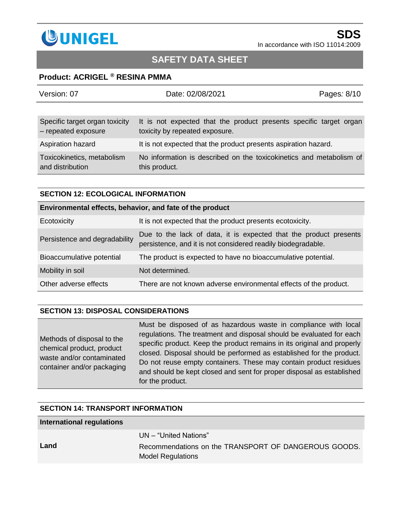

## **SAFETY DATA SHEET**

### **Product: ACRIGEL ® RESINA PMMA**

| Version: 07                                           | Date: 02/08/2021                                                                                     | Pages: 8/10 |
|-------------------------------------------------------|------------------------------------------------------------------------------------------------------|-------------|
|                                                       |                                                                                                      |             |
| Specific target organ toxicity<br>- repeated exposure | It is not expected that the product presents specific target organ<br>toxicity by repeated exposure. |             |
| Aspiration hazard                                     | It is not expected that the product presents aspiration hazard.                                      |             |
| Toxicokinetics, metabolism<br>and distribution        | No information is described on the toxicokinetics and metabolism of<br>this product.                 |             |

#### **SECTION 12: ECOLOGICAL INFORMATION**

| Environmental effects, behavior, and fate of the product |                                                                                                                                   |  |  |
|----------------------------------------------------------|-----------------------------------------------------------------------------------------------------------------------------------|--|--|
| Ecotoxicity                                              | It is not expected that the product presents ecotoxicity.                                                                         |  |  |
| Persistence and degradability                            | Due to the lack of data, it is expected that the product presents<br>persistence, and it is not considered readily biodegradable. |  |  |
| Bioaccumulative potential                                | The product is expected to have no bioaccumulative potential.                                                                     |  |  |
| Mobility in soil                                         | Not determined.                                                                                                                   |  |  |
| Other adverse effects                                    | There are not known adverse environmental effects of the product.                                                                 |  |  |

### **SECTION 13: DISPOSAL CONSIDERATIONS**

Methods of disposal to the chemical product, product waste and/or contaminated container and/or packaging Must be disposed of as hazardous waste in compliance with local regulations. The treatment and disposal should be evaluated for each specific product. Keep the product remains in its original and properly closed. Disposal should be performed as established for the product. Do not reuse empty containers. These may contain product residues and should be kept closed and sent for proper disposal as established for the product.

#### **SECTION 14: TRANSPORT INFORMATION**

| International regulations |                                                                                                           |
|---------------------------|-----------------------------------------------------------------------------------------------------------|
| Land                      | UN – "United Nations"<br>Recommendations on the TRANSPORT OF DANGEROUS GOODS.<br><b>Model Regulations</b> |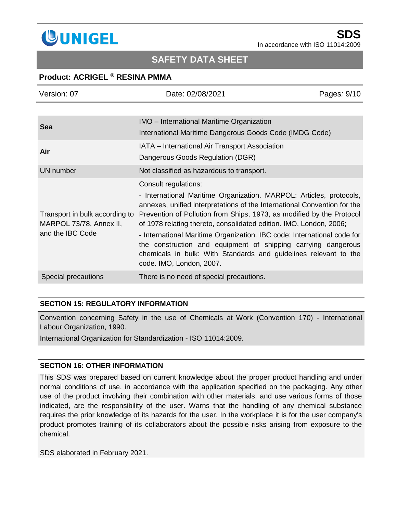

## **SAFETY DATA SHEET**

### **Product: ACRIGEL ® RESINA PMMA**

| Version: 07                                                                   | Date: 02/08/2021                                                                                                                                                                                                                                                                               | Pages: 9/10 |
|-------------------------------------------------------------------------------|------------------------------------------------------------------------------------------------------------------------------------------------------------------------------------------------------------------------------------------------------------------------------------------------|-------------|
|                                                                               |                                                                                                                                                                                                                                                                                                |             |
| <b>Sea</b>                                                                    | <b>IMO</b> – International Maritime Organization                                                                                                                                                                                                                                               |             |
|                                                                               | International Maritime Dangerous Goods Code (IMDG Code)                                                                                                                                                                                                                                        |             |
| Air                                                                           | IATA - International Air Transport Association                                                                                                                                                                                                                                                 |             |
|                                                                               | Dangerous Goods Regulation (DGR)                                                                                                                                                                                                                                                               |             |
| UN number                                                                     | Not classified as hazardous to transport.                                                                                                                                                                                                                                                      |             |
| Transport in bulk according to<br>MARPOL 73/78, Annex II,<br>and the IBC Code | Consult regulations:                                                                                                                                                                                                                                                                           |             |
|                                                                               | - International Maritime Organization. MARPOL: Articles, protocols,<br>annexes, unified interpretations of the International Convention for the<br>Prevention of Pollution from Ships, 1973, as modified by the Protocol<br>of 1978 relating thereto, consolidated edition. IMO, London, 2006; |             |
|                                                                               | - International Maritime Organization. IBC code: International code for<br>the construction and equipment of shipping carrying dangerous<br>chemicals in bulk: With Standards and guidelines relevant to the<br>code. IMO, London, 2007.                                                       |             |
| Special precautions                                                           | There is no need of special precautions.                                                                                                                                                                                                                                                       |             |

#### **SECTION 15: REGULATORY INFORMATION**

Convention concerning Safety in the use of Chemicals at Work (Convention 170) - International Labour Organization, 1990.

International Organization for Standardization - ISO 11014:2009.

#### **SECTION 16: OTHER INFORMATION**

This SDS was prepared based on current knowledge about the proper product handling and under normal conditions of use, in accordance with the application specified on the packaging. Any other use of the product involving their combination with other materials, and use various forms of those indicated, are the responsibility of the user. Warns that the handling of any chemical substance requires the prior knowledge of its hazards for the user. In the workplace it is for the user company's product promotes training of its collaborators about the possible risks arising from exposure to the chemical.

SDS elaborated in February 2021.